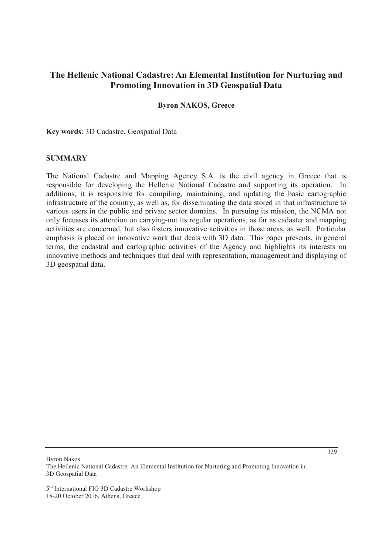# **The Hellenic National Cadastre: An Elemental Institution for Nurturing and Promoting Innovation in 3D Geospatial Data**

#### **Byron NAKOS, Greece**

**Key words**: 3D Cadastre, Geospatial Data

### **SUMMARY**

The National Cadastre and Mapping Agency S.A. is the civil agency in Greece that is responsible for developing the Hellenic National Cadastre and supporting its operation. In additions, it is responsible for compiling, maintaining, and updating the basic cartographic infrastructure of the country, as well as, for disseminating the data stored in that infrastructure to various users in the public and private sector domains. In pursuing its mission, the NCMA not only focusses its attention on carrying-out its regular operations, as far as cadaster and mapping activities are concerned, but also fosters innovative activities in those areas, as well. Particular emphasis is placed on innovative work that deals with 3D data. This paper presents, in general terms, the cadastral and cartographic activities of the Agency and highlights its interests on innovative methods and techniques that deal with representation, management and displaying of 3D geospatial data.

Byron Nakos

5<sup>th</sup> International FIG 3D Cadastre Workshop 18-20 October 2016, Athens, Greece

The Hellenic National Cadastre: An Elemental Institution for Nurturing and Promoting Innovation in 3D Geospatial Data